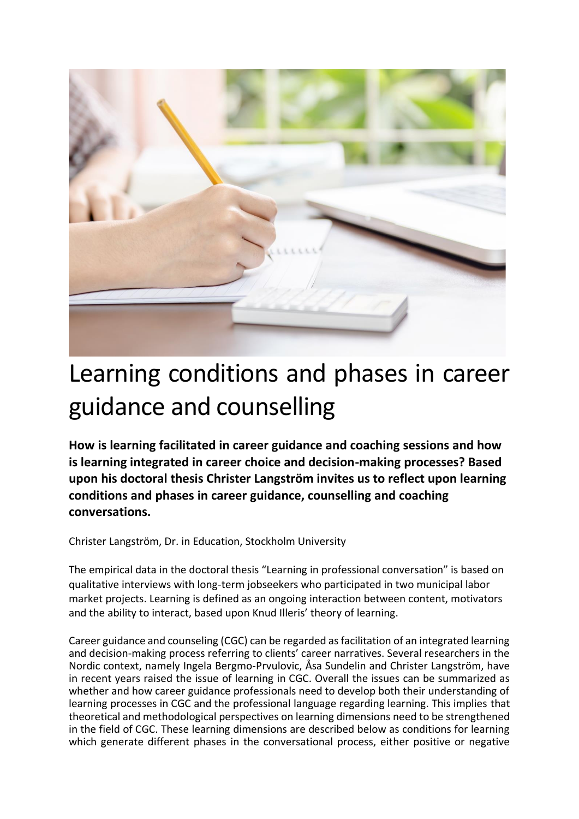

# Learning conditions and phases in career guidance and counselling

**How is learning facilitated in career guidance and coaching sessions and how is learning integrated in career choice and decision-making processes? Based upon his doctoral thesis Christer Langström invites us to reflect upon learning conditions and phases in career guidance, counselling and coaching conversations.**

Christer Langström, Dr. in Education, Stockholm University

The empirical data in the doctoral thesis "Learning in professional conversation" is based on qualitative interviews with long-term jobseekers who participated in two municipal labor market projects. Learning is defined as an ongoing interaction between content, motivators and the ability to interact, based upon Knud Illeris' theory of learning.

Career guidance and counseling (CGC) can be regarded as facilitation of an integrated learning and decision-making process referring to clients' career narratives. Several researchers in the Nordic context, namely Ingela Bergmo-Prvulovic, Åsa Sundelin and Christer Langström, have in recent years raised the issue of learning in CGC. Overall the issues can be summarized as whether and how career guidance professionals need to develop both their understanding of learning processes in CGC and the professional language regarding learning. This implies that theoretical and methodological perspectives on learning dimensions need to be strengthened in the field of CGC. These learning dimensions are described below as conditions for learning which generate different phases in the conversational process, either positive or negative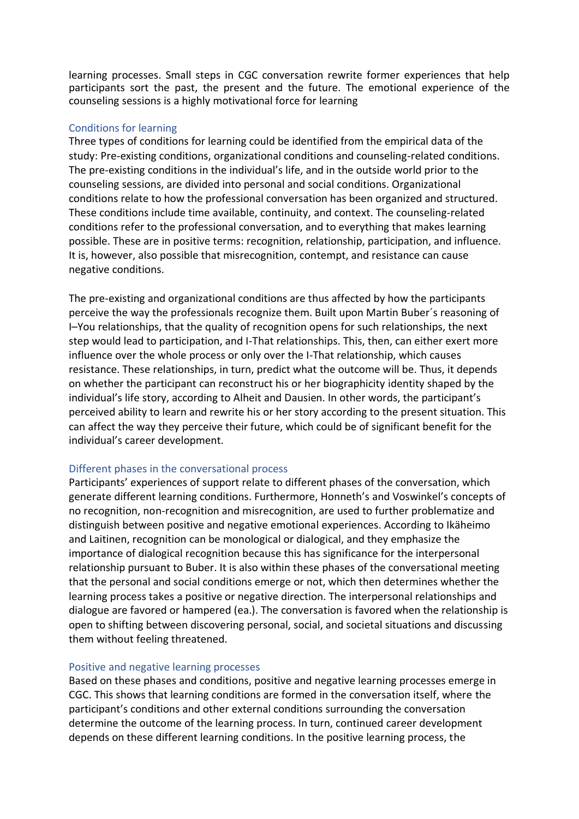learning processes. Small steps in CGC conversation rewrite former experiences that help participants sort the past, the present and the future. The emotional experience of the counseling sessions is a highly motivational force for learning

## Conditions for learning

Three types of conditions for learning could be identified from the empirical data of the study: Pre-existing conditions, organizational conditions and counseling-related conditions. The pre-existing conditions in the individual's life, and in the outside world prior to the counseling sessions, are divided into personal and social conditions. Organizational conditions relate to how the professional conversation has been organized and structured. These conditions include time available, continuity, and context. The counseling-related conditions refer to the professional conversation, and to everything that makes learning possible. These are in positive terms: recognition, relationship, participation, and influence. It is, however, also possible that misrecognition, contempt, and resistance can cause negative conditions.

The pre-existing and organizational conditions are thus affected by how the participants perceive the way the professionals recognize them. Built upon Martin Buber´s reasoning of I–You relationships, that the quality of recognition opens for such relationships, the next step would lead to participation, and I-That relationships. This, then, can either exert more influence over the whole process or only over the I-That relationship, which causes resistance. These relationships, in turn, predict what the outcome will be. Thus, it depends on whether the participant can reconstruct his or her biographicity identity shaped by the individual's life story, according to Alheit and Dausien. In other words, the participant's perceived ability to learn and rewrite his or her story according to the present situation. This can affect the way they perceive their future, which could be of significant benefit for the individual's career development.

## Different phases in the conversational process

Participants' experiences of support relate to different phases of the conversation, which generate different learning conditions. Furthermore, Honneth's and Voswinkel's concepts of no recognition, non-recognition and misrecognition, are used to further problematize and distinguish between positive and negative emotional experiences. According to Ikäheimo and Laitinen, recognition can be monological or dialogical, and they emphasize the importance of dialogical recognition because this has significance for the interpersonal relationship pursuant to Buber. It is also within these phases of the conversational meeting that the personal and social conditions emerge or not, which then determines whether the learning process takes a positive or negative direction. The interpersonal relationships and dialogue are favored or hampered (ea.). The conversation is favored when the relationship is open to shifting between discovering personal, social, and societal situations and discussing them without feeling threatened.

## Positive and negative learning processes

Based on these phases and conditions, positive and negative learning processes emerge in CGC. This shows that learning conditions are formed in the conversation itself, where the participant's conditions and other external conditions surrounding the conversation determine the outcome of the learning process. In turn, continued career development depends on these different learning conditions. In the positive learning process, the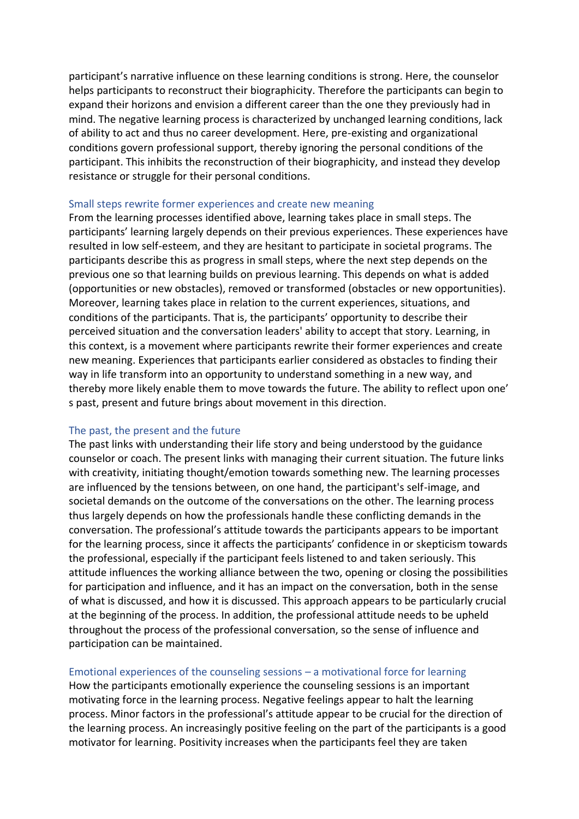participant's narrative influence on these learning conditions is strong. Here, the counselor helps participants to reconstruct their biographicity. Therefore the participants can begin to expand their horizons and envision a different career than the one they previously had in mind. The negative learning process is characterized by unchanged learning conditions, lack of ability to act and thus no career development. Here, pre-existing and organizational conditions govern professional support, thereby ignoring the personal conditions of the participant. This inhibits the reconstruction of their biographicity, and instead they develop resistance or struggle for their personal conditions.

### Small steps rewrite former experiences and create new meaning

From the learning processes identified above, learning takes place in small steps. The participants' learning largely depends on their previous experiences. These experiences have resulted in low self-esteem, and they are hesitant to participate in societal programs. The participants describe this as progress in small steps, where the next step depends on the previous one so that learning builds on previous learning. This depends on what is added (opportunities or new obstacles), removed or transformed (obstacles or new opportunities). Moreover, learning takes place in relation to the current experiences, situations, and conditions of the participants. That is, the participants' opportunity to describe their perceived situation and the conversation leaders' ability to accept that story. Learning, in this context, is a movement where participants rewrite their former experiences and create new meaning. Experiences that participants earlier considered as obstacles to finding their way in life transform into an opportunity to understand something in a new way, and thereby more likely enable them to move towards the future. The ability to reflect upon one' s past, present and future brings about movement in this direction.

#### The past, the present and the future

The past links with understanding their life story and being understood by the guidance counselor or coach. The present links with managing their current situation. The future links with creativity, initiating thought/emotion towards something new. The learning processes are influenced by the tensions between, on one hand, the participant's self-image, and societal demands on the outcome of the conversations on the other. The learning process thus largely depends on how the professionals handle these conflicting demands in the conversation. The professional's attitude towards the participants appears to be important for the learning process, since it affects the participants' confidence in or skepticism towards the professional, especially if the participant feels listened to and taken seriously. This attitude influences the working alliance between the two, opening or closing the possibilities for participation and influence, and it has an impact on the conversation, both in the sense of what is discussed, and how it is discussed. This approach appears to be particularly crucial at the beginning of the process. In addition, the professional attitude needs to be upheld throughout the process of the professional conversation, so the sense of influence and participation can be maintained.

## Emotional experiences of the counseling sessions – a motivational force for learning

How the participants emotionally experience the counseling sessions is an important motivating force in the learning process. Negative feelings appear to halt the learning process. Minor factors in the professional's attitude appear to be crucial for the direction of the learning process. An increasingly positive feeling on the part of the participants is a good motivator for learning. Positivity increases when the participants feel they are taken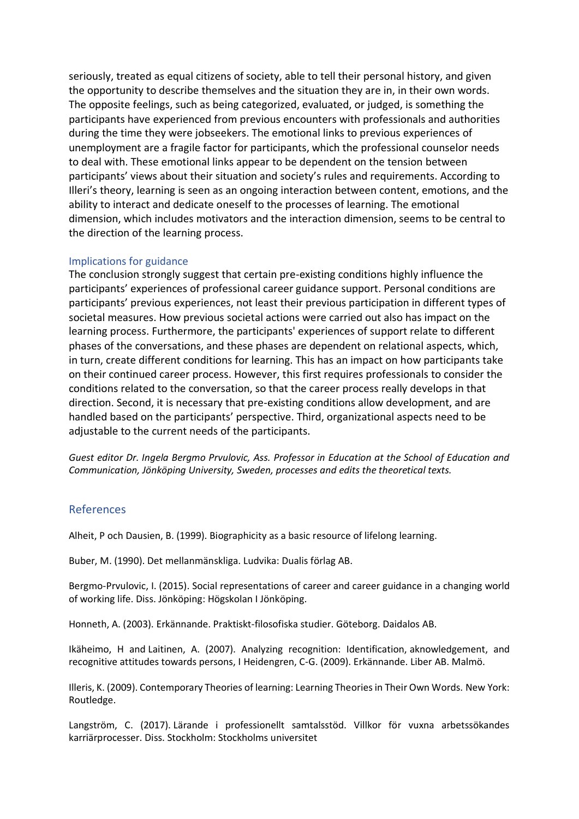seriously, treated as equal citizens of society, able to tell their personal history, and given the opportunity to describe themselves and the situation they are in, in their own words. The opposite feelings, such as being categorized, evaluated, or judged, is something the participants have experienced from previous encounters with professionals and authorities during the time they were jobseekers. The emotional links to previous experiences of unemployment are a fragile factor for participants, which the professional counselor needs to deal with. These emotional links appear to be dependent on the tension between participants' views about their situation and society's rules and requirements. According to Illeri's theory, learning is seen as an ongoing interaction between content, emotions, and the ability to interact and dedicate oneself to the processes of learning. The emotional dimension, which includes motivators and the interaction dimension, seems to be central to the direction of the learning process.

### Implications for guidance

The conclusion strongly suggest that certain pre-existing conditions highly influence the participants' experiences of professional career guidance support. Personal conditions are participants' previous experiences, not least their previous participation in different types of societal measures. How previous societal actions were carried out also has impact on the learning process. Furthermore, the participants' experiences of support relate to different phases of the conversations, and these phases are dependent on relational aspects, which, in turn, create different conditions for learning. This has an impact on how participants take on their continued career process. However, this first requires professionals to consider the conditions related to the conversation, so that the career process really develops in that direction. Second, it is necessary that pre-existing conditions allow development, and are handled based on the participants' perspective. Third, organizational aspects need to be adjustable to the current needs of the participants.

*Guest editor Dr. Ingela Bergmo Prvulovic, Ass. Professor in Education at the School of Education and Communication, Jönköping University, Sweden, processes and edits the theoretical texts.*

## References

Alheit, P och Dausien, B. (1999). Biographicity as a basic resource of lifelong learning.

Buber, M. (1990). Det mellanmänskliga. Ludvika: Dualis förlag AB.

Bergmo-Prvulovic, I. (2015). Social representations of career and career guidance in a changing world of working life. Diss. Jönköping: Högskolan I Jönköping.

Honneth, A. (2003). Erkännande. Praktiskt-filosofiska studier. Göteborg. Daidalos AB.

Ikäheimo, H and Laitinen, A. (2007). Analyzing recognition: Identification, aknowledgement, and recognitive attitudes towards persons, I Heidengren, C-G. (2009). Erkännande. Liber AB. Malmö.

Illeris, K. (2009). Contemporary Theories of learning: Learning Theories in Their Own Words. New York: Routledge.

Langström, C. (2017). Lärande i professionellt samtalsstöd. Villkor för vuxna arbetssökandes karriärprocesser. Diss. Stockholm: Stockholms universitet